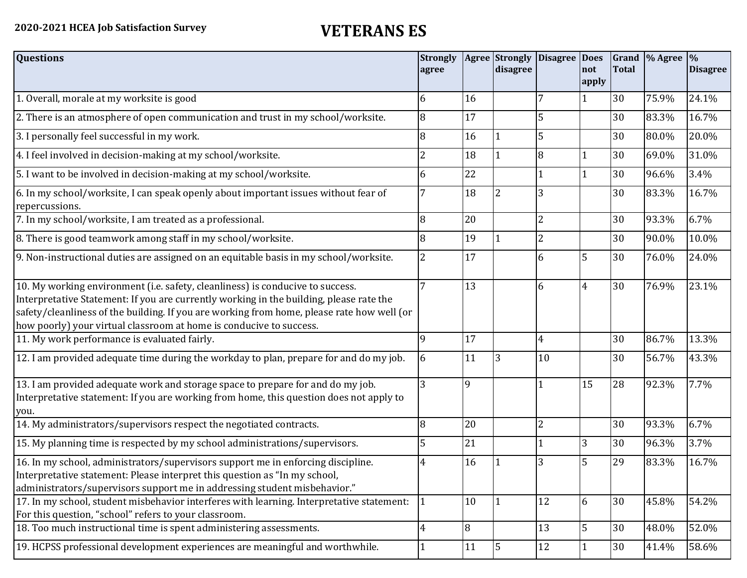| <b>Questions</b>                                                                                                                                                                                                                                                                                                                               | <b>Strongly</b><br>agree |    | <b>Agree</b> Strongly<br>disagree | Disagree Does  | not<br>apply   | <b>Total</b> | Grand \% Agree | $\frac{1}{2}$<br><b>Disagree</b> |
|------------------------------------------------------------------------------------------------------------------------------------------------------------------------------------------------------------------------------------------------------------------------------------------------------------------------------------------------|--------------------------|----|-----------------------------------|----------------|----------------|--------------|----------------|----------------------------------|
| 1. Overall, morale at my worksite is good                                                                                                                                                                                                                                                                                                      | 6                        | 16 |                                   |                | 1              | 30           | 75.9%          | 24.1%                            |
| 2. There is an atmosphere of open communication and trust in my school/worksite.                                                                                                                                                                                                                                                               | 8                        | 17 |                                   | 5              |                | 30           | 83.3%          | 16.7%                            |
| 3. I personally feel successful in my work.                                                                                                                                                                                                                                                                                                    | 8                        | 16 |                                   | 5              |                | 30           | 80.0%          | 20.0%                            |
| 4. I feel involved in decision-making at my school/worksite.                                                                                                                                                                                                                                                                                   | 2                        | 18 |                                   | 8              |                | 30           | 69.0%          | 31.0%                            |
| 5. I want to be involved in decision-making at my school/worksite.                                                                                                                                                                                                                                                                             | 6                        | 22 |                                   |                | $\mathbf{1}$   | 30           | 96.6%          | 3.4%                             |
| 6. In my school/worksite, I can speak openly about important issues without fear of<br>repercussions.                                                                                                                                                                                                                                          |                          | 18 |                                   | 3              |                | 30           | 83.3%          | 16.7%                            |
| 7. In my school/worksite, I am treated as a professional.                                                                                                                                                                                                                                                                                      | 8                        | 20 |                                   | $\overline{2}$ |                | 30           | 93.3%          | 6.7%                             |
| 8. There is good teamwork among staff in my school/worksite.                                                                                                                                                                                                                                                                                   | 8                        | 19 |                                   | $\overline{2}$ |                | 30           | 90.0%          | 10.0%                            |
| 9. Non-instructional duties are assigned on an equitable basis in my school/worksite.                                                                                                                                                                                                                                                          | 2                        | 17 |                                   | 6              | 5              | 30           | 76.0%          | 24.0%                            |
| 10. My working environment (i.e. safety, cleanliness) is conducive to success.<br>Interpretative Statement: If you are currently working in the building, please rate the<br>safety/cleanliness of the building. If you are working from home, please rate how well (or<br>how poorly) your virtual classroom at home is conducive to success. | 7                        | 13 |                                   | 6              | $\overline{4}$ | 30           | 76.9%          | 23.1%                            |
| 11. My work performance is evaluated fairly.                                                                                                                                                                                                                                                                                                   | 9                        | 17 |                                   | $\overline{4}$ |                | 30           | 86.7%          | 13.3%                            |
| 12. I am provided adequate time during the workday to plan, prepare for and do my job.                                                                                                                                                                                                                                                         | 6                        | 11 | 3                                 | 10             |                | 30           | 56.7%          | 43.3%                            |
| 13. I am provided adequate work and storage space to prepare for and do my job.<br>Interpretative statement: If you are working from home, this question does not apply to<br>you.                                                                                                                                                             | 3                        | 9  |                                   |                | 15             | 28           | 92.3%          | 7.7%                             |
| 14. My administrators/supervisors respect the negotiated contracts.                                                                                                                                                                                                                                                                            | 8                        | 20 |                                   | $\overline{2}$ |                | 30           | 93.3%          | 6.7%                             |
| 15. My planning time is respected by my school administrations/supervisors.                                                                                                                                                                                                                                                                    | 5                        | 21 |                                   |                | $\overline{3}$ | 30           | 96.3%          | 3.7%                             |
| 16. In my school, administrators/supervisors support me in enforcing discipline.<br>Interpretative statement: Please interpret this question as "In my school,<br>administrators/supervisors support me in addressing student misbehavior."                                                                                                    | 4                        | 16 |                                   | 3              | 5              | 29           | 83.3%          | 16.7%                            |
| 17. In my school, student misbehavior interferes with learning. Interpretative statement:<br>For this question, "school" refers to your classroom.                                                                                                                                                                                             | $\mathbf{1}$             | 10 |                                   | 12             | 6              | 30           | 45.8%          | 54.2%                            |
| 18. Too much instructional time is spent administering assessments.                                                                                                                                                                                                                                                                            | $\overline{4}$           | 8  |                                   | 13             | $\overline{5}$ | 30           | 48.0%          | 52.0%                            |
| 19. HCPSS professional development experiences are meaningful and worthwhile.                                                                                                                                                                                                                                                                  |                          | 11 | 5                                 | 12             | $\mathbf{1}$   | 30           | 41.4%          | 58.6%                            |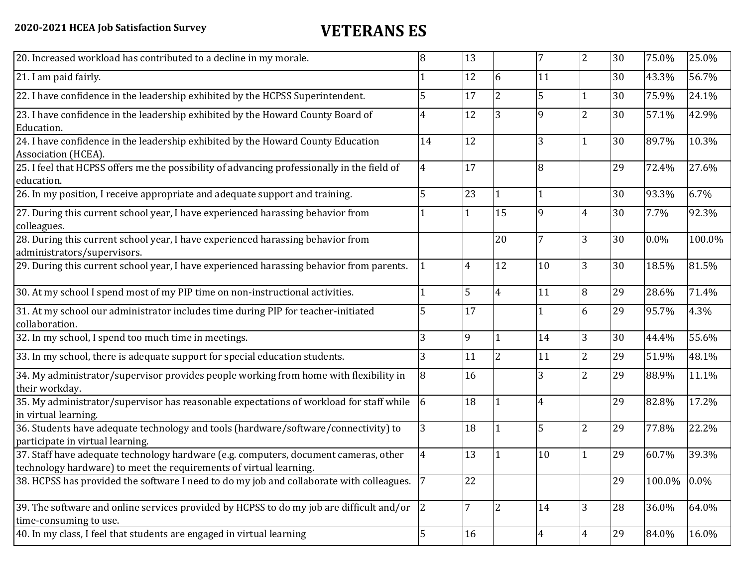| 20. Increased workload has contributed to a decline in my morale.                                                                                          | 8              | 13 |                | 7              | $\overline{2}$ | 30 | 75.0%   | 25.0%  |
|------------------------------------------------------------------------------------------------------------------------------------------------------------|----------------|----|----------------|----------------|----------------|----|---------|--------|
| 21. I am paid fairly.                                                                                                                                      |                | 12 | 6              | 11             |                | 30 | 43.3%   | 56.7%  |
| 22. I have confidence in the leadership exhibited by the HCPSS Superintendent.                                                                             | 5              | 17 | $\overline{2}$ | 5              | $\mathbf{1}$   | 30 | 75.9%   | 24.1%  |
| 23. I have confidence in the leadership exhibited by the Howard County Board of<br>Education.                                                              | 4              | 12 | 3              | 9              | $\overline{2}$ | 30 | 57.1%   | 42.9%  |
| 24. I have confidence in the leadership exhibited by the Howard County Education<br>Association (HCEA).                                                    | 14             | 12 |                | 3              | $\mathbf{1}$   | 30 | 89.7%   | 10.3%  |
| 25. I feel that HCPSS offers me the possibility of advancing professionally in the field of<br>education.                                                  | 4              | 17 |                | 8              |                | 29 | 72.4%   | 27.6%  |
| 26. In my position, I receive appropriate and adequate support and training.                                                                               | 5              | 23 |                | $\mathbf{1}$   |                | 30 | 93.3%   | 6.7%   |
| 27. During this current school year, I have experienced harassing behavior from<br>colleagues.                                                             |                |    | 15             | 9              | $\overline{4}$ | 30 | 7.7%    | 92.3%  |
| 28. During this current school year, I have experienced harassing behavior from<br>administrators/supervisors.                                             |                |    | 20             | $\overline{7}$ | $\overline{3}$ | 30 | $0.0\%$ | 100.0% |
| 29. During this current school year, I have experienced harassing behavior from parents.                                                                   |                | 4  | 12             | 10             | 3              | 30 | 18.5%   | 81.5%  |
| 30. At my school I spend most of my PIP time on non-instructional activities.                                                                              |                | 5  | $\overline{4}$ | 11             | 8              | 29 | 28.6%   | 71.4%  |
| 31. At my school our administrator includes time during PIP for teacher-initiated<br>collaboration.                                                        | 5              | 17 |                | $\mathbf 1$    | 6              | 29 | 95.7%   | 4.3%   |
| 32. In my school, I spend too much time in meetings.                                                                                                       | 3              | 9  |                | 14             | $\overline{3}$ | 30 | 44.4%   | 55.6%  |
| 33. In my school, there is adequate support for special education students.                                                                                | 3              | 11 | $\overline{2}$ | 11             | $\overline{2}$ | 29 | 51.9%   | 48.1%  |
| 34. My administrator/supervisor provides people working from home with flexibility in<br>their workday.                                                    | 8              | 16 |                | 3              | $\overline{2}$ | 29 | 88.9%   | 11.1%  |
| 35. My administrator/supervisor has reasonable expectations of workload for staff while<br>in virtual learning.                                            | 6              | 18 |                | $\overline{4}$ |                | 29 | 82.8%   | 17.2%  |
| 36. Students have adequate technology and tools (hardware/software/connectivity) to<br>participate in virtual learning.                                    | 3              | 18 |                | 5              | $\overline{2}$ | 29 | 77.8%   | 22.2%  |
| 37. Staff have adequate technology hardware (e.g. computers, document cameras, other<br>technology hardware) to meet the requirements of virtual learning. | $\overline{4}$ | 13 |                | 10             | $\mathbf{1}$   | 29 | 60.7%   | 39.3%  |
| 38. HCPSS has provided the software I need to do my job and collaborate with colleagues.                                                                   | $\overline{7}$ | 22 |                |                |                | 29 | 100.0%  | 0.0%   |
| 39. The software and online services provided by HCPSS to do my job are difficult and/or $\ 2\ $<br>time-consuming to use.                                 |                | 7  | $\overline{2}$ | 14             | 3              | 28 | 36.0%   | 64.0%  |
| 40. In my class, I feel that students are engaged in virtual learning                                                                                      | 5              | 16 |                | $\overline{4}$ | $\overline{4}$ | 29 | 84.0%   | 16.0%  |
|                                                                                                                                                            |                |    |                |                |                |    |         |        |